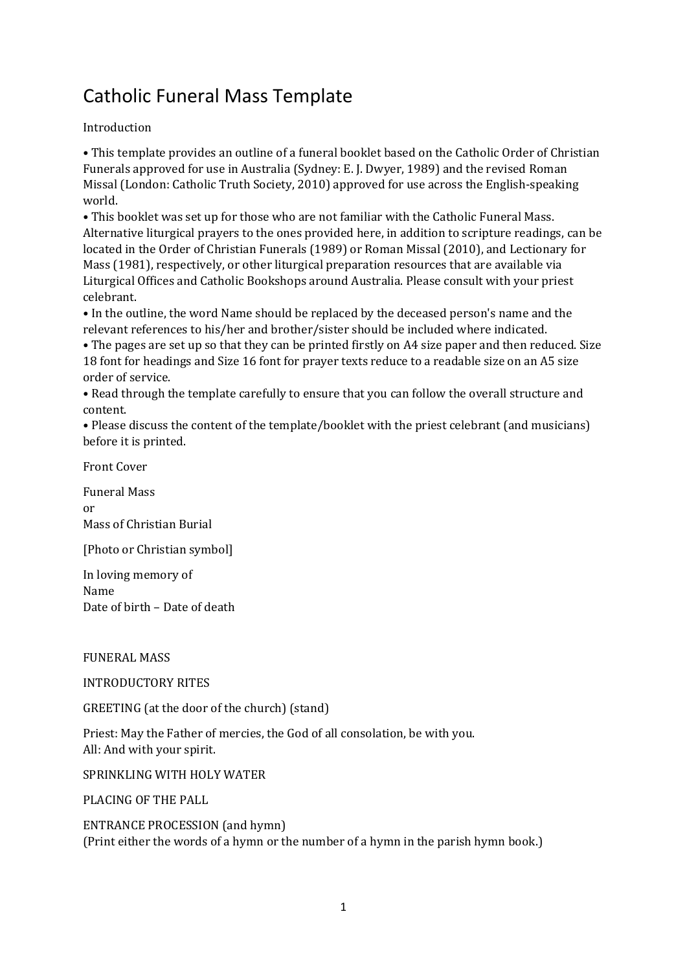# Catholic Funeral Mass Template

## Introduction

• This template provides an outline of a funeral booklet based on the Catholic Order of Christian Funerals approved for use in Australia (Sydney: E. J. Dwyer, 1989) and the revised Roman Missal (London: Catholic Truth Society, 2010) approved for use across the English-speaking world.

• This booklet was set up for those who are not familiar with the Catholic Funeral Mass. Alternative liturgical prayers to the ones provided here, in addition to scripture readings, can be located in the Order of Christian Funerals (1989) or Roman Missal (2010), and Lectionary for Mass (1981), respectively, or other liturgical preparation resources that are available via Liturgical Offices and Catholic Bookshops around Australia. Please consult with your priest celebrant.

• In the outline, the word Name should be replaced by the deceased person's name and the relevant references to his/her and brother/sister should be included where indicated.

• The pages are set up so that they can be printed firstly on A4 size paper and then reduced. Size 18 font for headings and Size 16 font for prayer texts reduce to a readable size on an A5 size order of service.

• Read through the template carefully to ensure that you can follow the overall structure and content.

• Please discuss the content of the template/booklet with the priest celebrant (and musicians) before it is printed.

Front Cover

Funeral Mass or Mass of Christian Burial

[Photo or Christian symbol]

In loving memory of Name Date of birth – Date of death

## FUNERAL MASS

## INTRODUCTORY RITES

GREETING (at the door of the church) (stand)

Priest: May the Father of mercies, the God of all consolation, be with you. All: And with your spirit.

SPRINKLING WITH HOLY WATER

PLACING OF THE PALL

ENTRANCE PROCESSION (and hymn) (Print either the words of a hymn or the number of a hymn in the parish hymn book.)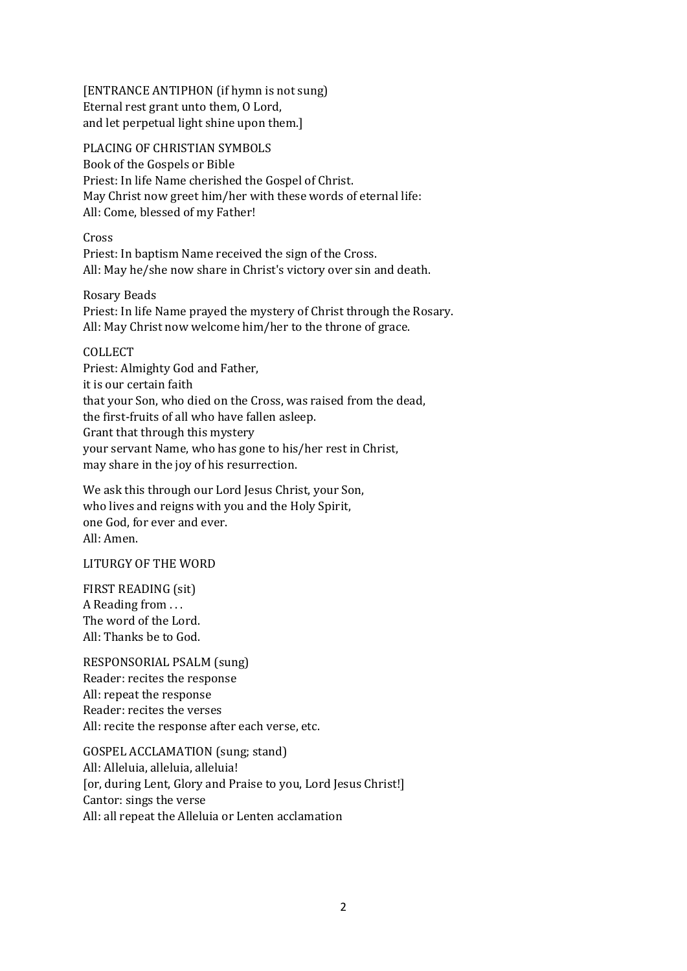[ENTRANCE ANTIPHON (if hymn is not sung) Eternal rest grant unto them, O Lord, and let perpetual light shine upon them.]

PLACING OF CHRISTIAN SYMBOLS Book of the Gospels or Bible Priest: In life Name cherished the Gospel of Christ. May Christ now greet him/her with these words of eternal life: All: Come, blessed of my Father!

Cross Priest: In baptism Name received the sign of the Cross. All: May he/she now share in Christ's victory over sin and death.

Rosary Beads Priest: In life Name prayed the mystery of Christ through the Rosary. All: May Christ now welcome him/her to the throne of grace.

COLLECT Priest: Almighty God and Father, it is our certain faith that your Son, who died on the Cross, was raised from the dead, the first-fruits of all who have fallen asleep. Grant that through this mystery your servant Name, who has gone to his/her rest in Christ, may share in the joy of his resurrection.

We ask this through our Lord Jesus Christ, your Son, who lives and reigns with you and the Holy Spirit, one God, for ever and ever. All: Amen.

LITURGY OF THE WORD

FIRST READING (sit) A Reading from . . . The word of the Lord. All: Thanks be to God.

RESPONSORIAL PSALM (sung) Reader: recites the response All: repeat the response Reader: recites the verses All: recite the response after each verse, etc.

GOSPEL ACCLAMATION (sung; stand) All: Alleluia, alleluia, alleluia! [or, during Lent, Glory and Praise to you, Lord Jesus Christ!] Cantor: sings the verse All: all repeat the Alleluia or Lenten acclamation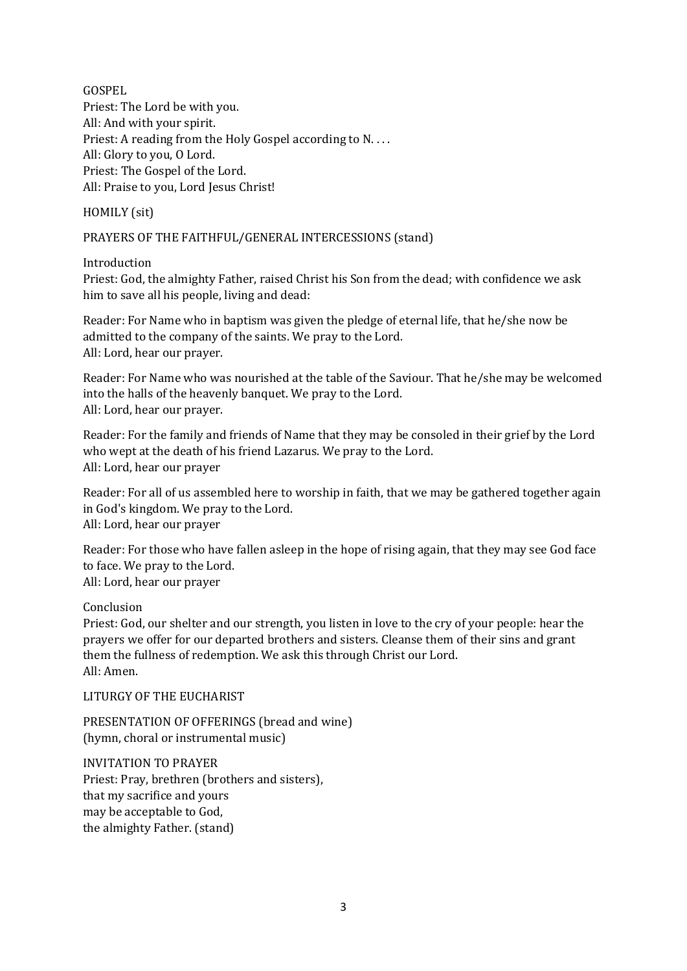GOSPEL Priest: The Lord be with you. All: And with your spirit. Priest: A reading from the Holy Gospel according to N.... All: Glory to you, O Lord. Priest: The Gospel of the Lord. All: Praise to you, Lord Jesus Christ!

HOMILY (sit)

PRAYERS OF THE FAITHFUL/GENERAL INTERCESSIONS (stand)

Introduction

Priest: God, the almighty Father, raised Christ his Son from the dead; with confidence we ask him to save all his people, living and dead:

Reader: For Name who in baptism was given the pledge of eternal life, that he/she now be admitted to the company of the saints. We pray to the Lord. All: Lord, hear our prayer.

Reader: For Name who was nourished at the table of the Saviour. That he/she may be welcomed into the halls of the heavenly banquet. We pray to the Lord. All: Lord, hear our prayer.

Reader: For the family and friends of Name that they may be consoled in their grief by the Lord who wept at the death of his friend Lazarus. We pray to the Lord. All: Lord, hear our prayer

Reader: For all of us assembled here to worship in faith, that we may be gathered together again in God's kingdom. We pray to the Lord. All: Lord, hear our prayer

Reader: For those who have fallen asleep in the hope of rising again, that they may see God face to face. We pray to the Lord. All: Lord, hear our prayer

Conclusion

Priest: God, our shelter and our strength, you listen in love to the cry of your people: hear the prayers we offer for our departed brothers and sisters. Cleanse them of their sins and grant them the fullness of redemption. We ask this through Christ our Lord. All: Amen.

LITURGY OF THE EUCHARIST

PRESENTATION OF OFFERINGS (bread and wine) (hymn, choral or instrumental music)

INVITATION TO PRAYER Priest: Pray, brethren (brothers and sisters), that my sacrifice and yours may be acceptable to God, the almighty Father. (stand)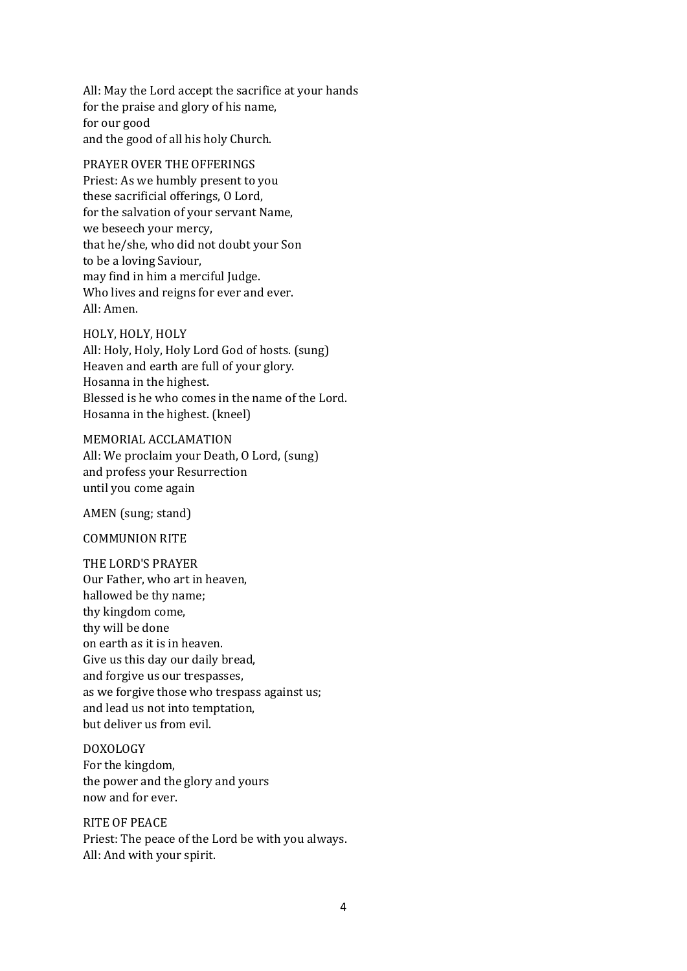All: May the Lord accept the sacrifice at your hands for the praise and glory of his name, for our good and the good of all his holy Church.

PRAYER OVER THE OFFERINGS Priest: As we humbly present to you these sacrificial offerings, O Lord, for the salvation of your servant Name, we beseech your mercy, that he/she, who did not doubt your Son to be a loving Saviour, may find in him a merciful Judge. Who lives and reigns for ever and ever. All: Amen.

HOLY, HOLY, HOLY

All: Holy, Holy, Holy Lord God of hosts. (sung) Heaven and earth are full of your glory. Hosanna in the highest. Blessed is he who comes in the name of the Lord. Hosanna in the highest. (kneel)

MEMORIAL ACCLAMATION All: We proclaim your Death, O Lord, (sung) and profess your Resurrection until you come again

AMEN (sung; stand)

COMMUNION RITE

THE LORD'S PRAYER Our Father, who art in heaven, hallowed be thy name; thy kingdom come, thy will be done on earth as it is in heaven. Give us this day our daily bread, and forgive us our trespasses, as we forgive those who trespass against us; and lead us not into temptation, but deliver us from evil.

#### DOXOLOGY

For the kingdom, the power and the glory and yours now and for ever.

RITE OF PEACE

Priest: The peace of the Lord be with you always. All: And with your spirit.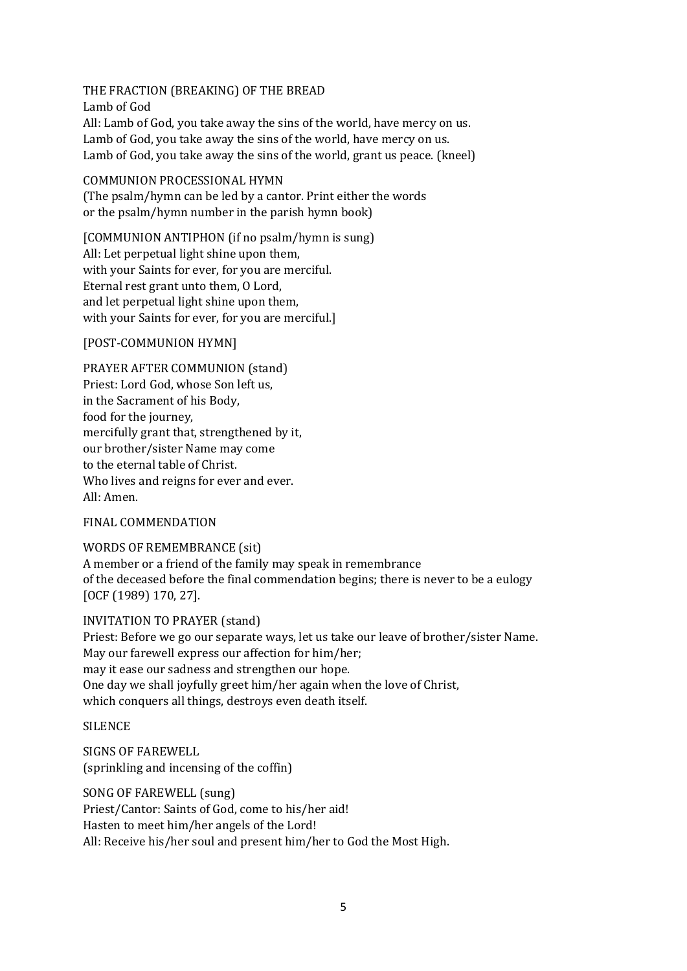THE FRACTION (BREAKING) OF THE BREAD Lamb of God All: Lamb of God, you take away the sins of the world, have mercy on us. Lamb of God, you take away the sins of the world, have mercy on us. Lamb of God, you take away the sins of the world, grant us peace. (kneel)

#### COMMUNION PROCESSIONAL HYMN

(The psalm/hymn can be led by a cantor. Print either the words or the psalm/hymn number in the parish hymn book)

[COMMUNION ANTIPHON (if no psalm/hymn is sung) All: Let perpetual light shine upon them, with your Saints for ever, for you are merciful. Eternal rest grant unto them, O Lord, and let perpetual light shine upon them, with your Saints for ever, for you are merciful.]

## [POST-COMMUNION HYMN]

PRAYER AFTER COMMUNION (stand) Priest: Lord God, whose Son left us, in the Sacrament of his Body, food for the journey, mercifully grant that, strengthened by it, our brother/sister Name may come to the eternal table of Christ. Who lives and reigns for ever and ever. All: Amen.

## FINAL COMMENDATION

WORDS OF REMEMBRANCE (sit) A member or a friend of the family may speak in remembrance of the deceased before the final commendation begins; there is never to be a eulogy [OCF (1989) 170, 27].

#### INVITATION TO PRAYER (stand)

Priest: Before we go our separate ways, let us take our leave of brother/sister Name. May our farewell express our affection for him/her; may it ease our sadness and strengthen our hope. One day we shall joyfully greet him/her again when the love of Christ, which conquers all things, destroys even death itself.

**SILENCE** 

SIGNS OF FAREWELL (sprinkling and incensing of the coffin)

SONG OF FAREWELL (sung) Priest/Cantor: Saints of God, come to his/her aid! Hasten to meet him/her angels of the Lord! All: Receive his/her soul and present him/her to God the Most High.